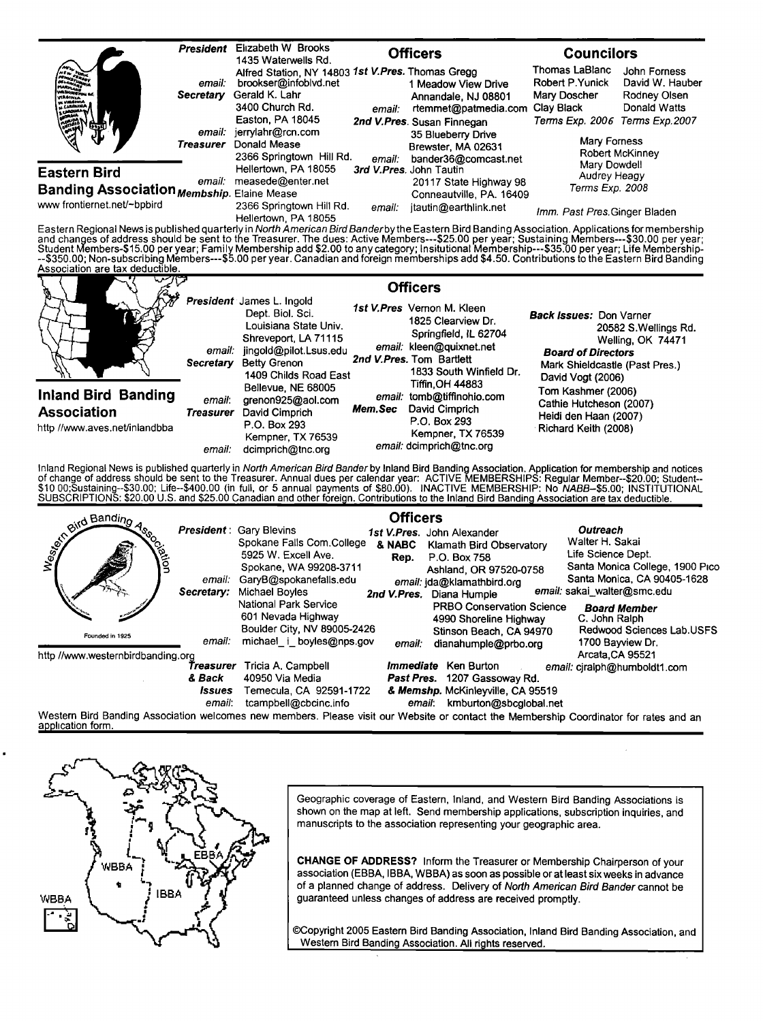|                                                                                                                                                                                                                                                                                                                                                                                                                                                                                                                                                                                                                                   | President           | Elizabeth W Brooks<br>1435 Waterwells Rd.                                                                                   |        | <b>Officers</b>                                                                                                              | <b>Councilors</b>                                                                |                                                                 |
|-----------------------------------------------------------------------------------------------------------------------------------------------------------------------------------------------------------------------------------------------------------------------------------------------------------------------------------------------------------------------------------------------------------------------------------------------------------------------------------------------------------------------------------------------------------------------------------------------------------------------------------|---------------------|-----------------------------------------------------------------------------------------------------------------------------|--------|------------------------------------------------------------------------------------------------------------------------------|----------------------------------------------------------------------------------|-----------------------------------------------------------------|
| <b>TRAINLE</b>                                                                                                                                                                                                                                                                                                                                                                                                                                                                                                                                                                                                                    | email:<br>Secretary | Alfred Station, NY 14803 1st V.Pres. Thomas Gregg<br>brookser@infoblvd.net<br>Gerald K. Lahr<br>3400 Church Rd.             | email: | 1 Meadow View Drive<br>Annandale, NJ 08801<br>rtemmet@patmedia.com                                                           | Thomas LaBlanc<br>Robert P.Yunick<br>Mary Doscher<br>Clay Black                  | John Forness<br>David W. Hauber<br>Rodney Olsen<br>Donald Watts |
|                                                                                                                                                                                                                                                                                                                                                                                                                                                                                                                                                                                                                                   | email:<br>Treasurer | Easton, PA 18045<br>jerrylahr@rcn.com<br>Donald Mease<br>2366 Springtown Hill Rd.                                           | email: | 2nd V.Pres. Susan Finnegan<br>35 Blueberry Drive<br>Brewster, MA 02631<br>bander36@comcast.net                               | Terms Exp. 2006 Terms Exp. 2007<br>Mary Forness                                  | Robert McKinney                                                 |
| <b>Eastern Bird</b><br>Banding Association Membship. Elaine Mease                                                                                                                                                                                                                                                                                                                                                                                                                                                                                                                                                                 | email:              | Hellertown, PA 18055<br>measede@enter.net                                                                                   |        | 3rd V.Pres. John Tautin<br>20117 State Highway 98<br>Conneautville, PA. 16409                                                | Mary Dowdell<br>Audrey Heagy<br>Terms Exp. 2008                                  |                                                                 |
| www frontiernet.net/~bpbird                                                                                                                                                                                                                                                                                                                                                                                                                                                                                                                                                                                                       |                     | 2366 Springtown Hill Rd.<br>Hellertown, PA 18055                                                                            | email: | jtautin@earthlink.net                                                                                                        | Imm. Past Pres. Ginger Bladen                                                    |                                                                 |
|                                                                                                                                                                                                                                                                                                                                                                                                                                                                                                                                                                                                                                   |                     |                                                                                                                             |        |                                                                                                                              |                                                                                  |                                                                 |
| Eastern Regional News is published quarterly in North American Bird Banderby the Eastern Bird Banding Association. Applications for membership<br>and changes of address should be sent to the Treasurer. The dues: Active Members---\$25.00 per year; Sustaining Members---\$30.00 per year;<br>Student Members-\$15.00 per year; Family Membership add \$2.00 to any category; Insitutional Membership---\$35.00 per year; Life Membership-<br>--\$350.00; Non-subscribing Members---\$5.00 per year. Canadian and foreign memberships add \$4.50. Contributions to the Eastern Bird Banding<br>Association are tax deductible. |                     |                                                                                                                             |        |                                                                                                                              |                                                                                  |                                                                 |
|                                                                                                                                                                                                                                                                                                                                                                                                                                                                                                                                                                                                                                   |                     | President James L. Ingold<br>Dept. Biol. Sci.<br>Louisiana State Univ.                                                      |        | <b>Officers</b><br>1st V.Pres Vernon M. Kleen<br>1825 Clearview Dr.                                                          | <b>Back Issues: Don Varner</b>                                                   | 20582 S.Wellings Rd.                                            |
|                                                                                                                                                                                                                                                                                                                                                                                                                                                                                                                                                                                                                                   | Secretary           | Shreveport, LA 71115<br>email: jingold@pilot.Lsus.edu<br><b>Betty Grenon</b><br>1409 Childs Road East<br>Bellevue, NE 68005 |        | Springfield, IL 62704<br>email: kleen@quixnet.net<br>2nd V.Pres. Tom Bartlett<br>1833 South Winfield Dr.<br>Tiffin, OH 44883 | <b>Board of Directors</b><br>Mark Shieldcastle (Past Pres.)<br>David Vogt (2006) | Welling, OK 74471                                               |

inland Regional News is published quarterly in *North American Bird Bander* by Inland Bird Banding Association. Application for membership and notices<br>of change of address should be sent to the Treasurer. Annual dues per c SUBSCRIPTIONS: \$20.00 U.S. and \$25.00 Canadian and other foreign. Contributions to the Inland Bird Banding Association are tax deductible.

| Service Bandino                   |                                                | <b>President: Gary Blevins</b><br>Spokane Falls Com.College                                            | <b>Officers</b><br>1st V.Pres. John Alexander<br>& NABC<br>Klamath Bird Observatory                                                    | Outreach<br>Walter H. Sakai                                                                                         |
|-----------------------------------|------------------------------------------------|--------------------------------------------------------------------------------------------------------|----------------------------------------------------------------------------------------------------------------------------------------|---------------------------------------------------------------------------------------------------------------------|
| Rion                              | email:<br>Secretary:                           | 5925 W. Excell Ave.<br>Spokane, WA 99208-3711<br>GaryB@spokanefalls.edu<br>Michael Boyles              | P.O. Box 758<br>Rep.<br>Ashland, OR 97520-0758<br>email: jda@klamathbird.org<br>Diana Humple<br>2nd V.Pres.                            | Life Science Dept.<br>Santa Monica College, 1900 Pico<br>Santa Monica, CA 90405-1628<br>email: sakai_walter@smc.edu |
| Founded in 1925                   | email:                                         | National Park Service<br>601 Nevada Highway<br>Boulder City, NV 89005-2426<br>michael i boyles@nps.gov | <b>PRBO Conservation Science</b><br>4990 Shoreline Highway<br>Stinson Beach, CA 94970<br>dianahumple@prbo.org<br>email:                | <b>Board Member</b><br>C. John Ralph<br>Redwood Sciences Lab.USFS<br>1700 Bayview Dr.                               |
| http //www.westernbirdbanding.org | Treasurer<br>& Back<br><i>Issues</i><br>email: | Tricia A. Campbell<br>40950 Via Media<br>Temecula, CA 92591-1722<br>tcampbell@cbcinc.info              | <i>Immediate</i> Ken Burton<br>Past Pres. 1207 Gassoway Rd.<br>& Memshp. McKinleyville, CA 95519<br>kmburton@sbcglobal.net<br>email:   | Arcata, CA 95521<br>email: cjralph@humboldt1.com                                                                    |
| application form.                 |                                                |                                                                                                        | Western Bird Banding Association welcomes new members. Please visit our Website or contact the Membership Coordinator for rates and an |                                                                                                                     |

**WBBA IBBA** WBBA

Geographic coverage of Eastern, Inland, and Western Bird Banding Associations is **shown on the map at left. Send membership applications, subscription inquiries, and manuscripts to the association representing your geographic area.** 

CHANGE OF ADDRESS? Inform the Treasurer or Membership Chairperson of your association (EBBA, IBBA, WBBA) as soon as possible or at least six weeks in advance of a planned change of address. Delivery of North American Bird Bander cannot be guaranteed unless changes of address are received promptly.

©Copyright 2005 Eastern Bird Banding Association, Inland Bird Banding Association, and **Western Bird Banding Association. All rights reserved.**